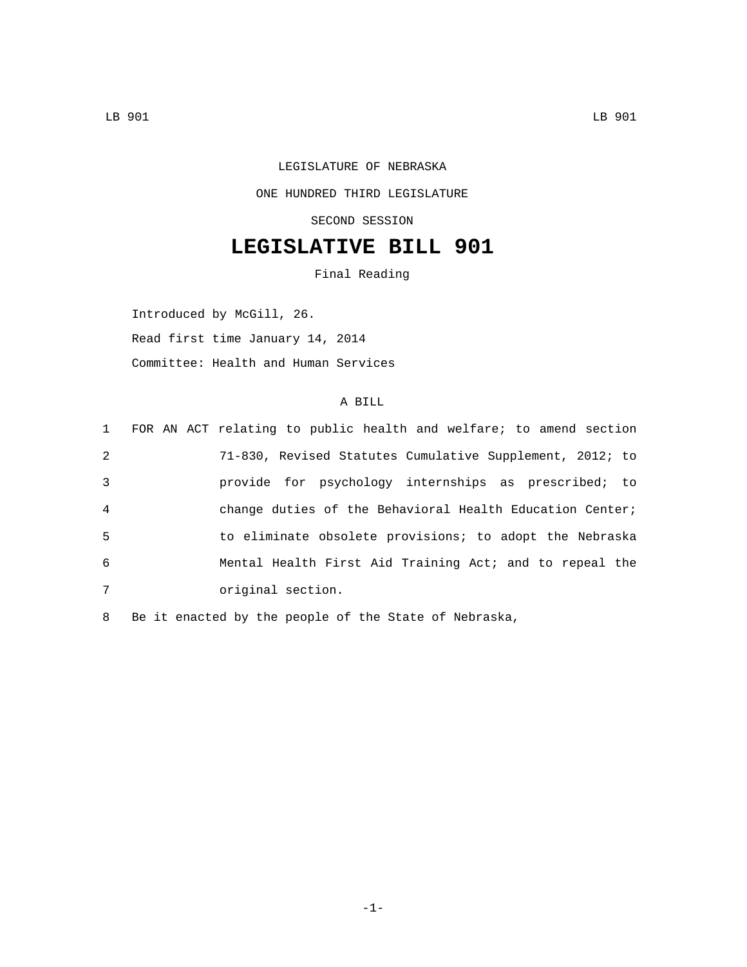## LEGISLATURE OF NEBRASKA ONE HUNDRED THIRD LEGISLATURE SECOND SESSION

## **LEGISLATIVE BILL 901**

Final Reading

Introduced by McGill, 26. Read first time January 14, 2014 Committee: Health and Human Services

## A BILL

|                | 1 FOR AN ACT relating to public health and welfare; to amend section |
|----------------|----------------------------------------------------------------------|
| 2              | 71-830, Revised Statutes Cumulative Supplement, 2012; to             |
| 3              | provide for psychology internships as prescribed; to                 |
| $\overline{4}$ | change duties of the Behavioral Health Education Center;             |
| 5              | to eliminate obsolete provisions; to adopt the Nebraska              |
| 6              | Mental Health First Aid Training Act; and to repeal the              |
| 7              | original section.                                                    |

8 Be it enacted by the people of the State of Nebraska,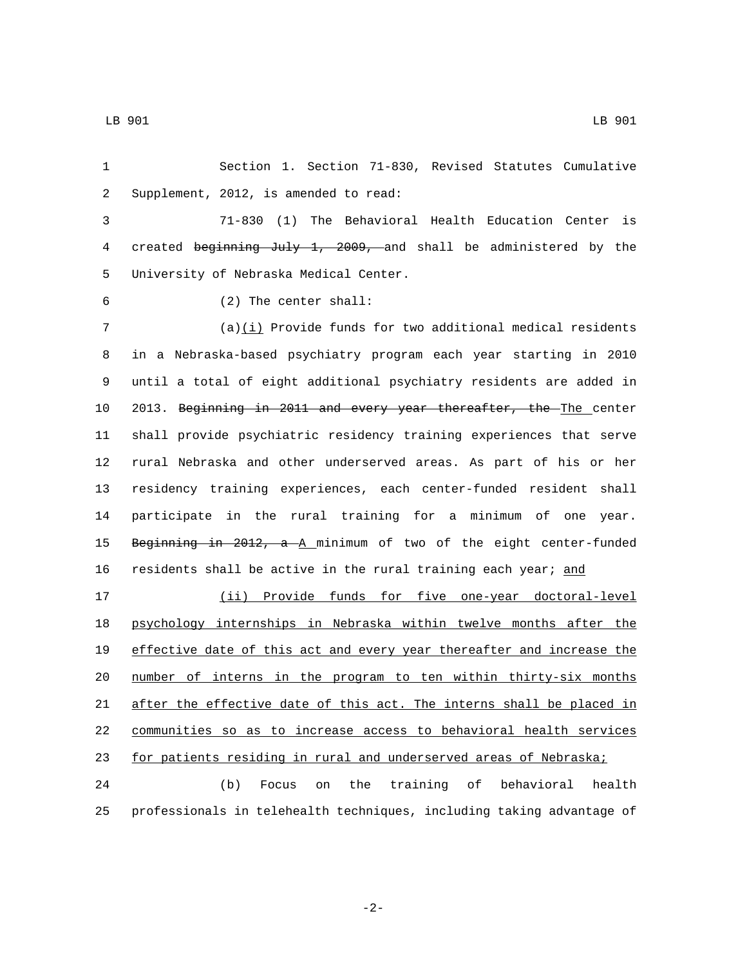Section 1. Section 71-830, Revised Statutes Cumulative 2 Supplement, 2012, is amended to read:

 71-830 (1) The Behavioral Health Education Center is created beginning July 1, 2009, and shall be administered by the 5 University of Nebraska Medical Center.

- 
- (2) The center shall:6

 (a)(i) Provide funds for two additional medical residents in a Nebraska-based psychiatry program each year starting in 2010 until a total of eight additional psychiatry residents are added in 2013. Beginning in 2011 and every year thereafter, the The center shall provide psychiatric residency training experiences that serve rural Nebraska and other underserved areas. As part of his or her residency training experiences, each center-funded resident shall participate in the rural training for a minimum of one year. Beginning in 2012, a A minimum of two of the eight center-funded

 (ii) Provide funds for five one-year doctoral-level psychology internships in Nebraska within twelve months after the effective date of this act and every year thereafter and increase the number of interns in the program to ten within thirty-six months after the effective date of this act. The interns shall be placed in communities so as to increase access to behavioral health services for patients residing in rural and underserved areas of Nebraska;

16 residents shall be active in the rural training each year; and

 (b) Focus on the training of behavioral health professionals in telehealth techniques, including taking advantage of

-2-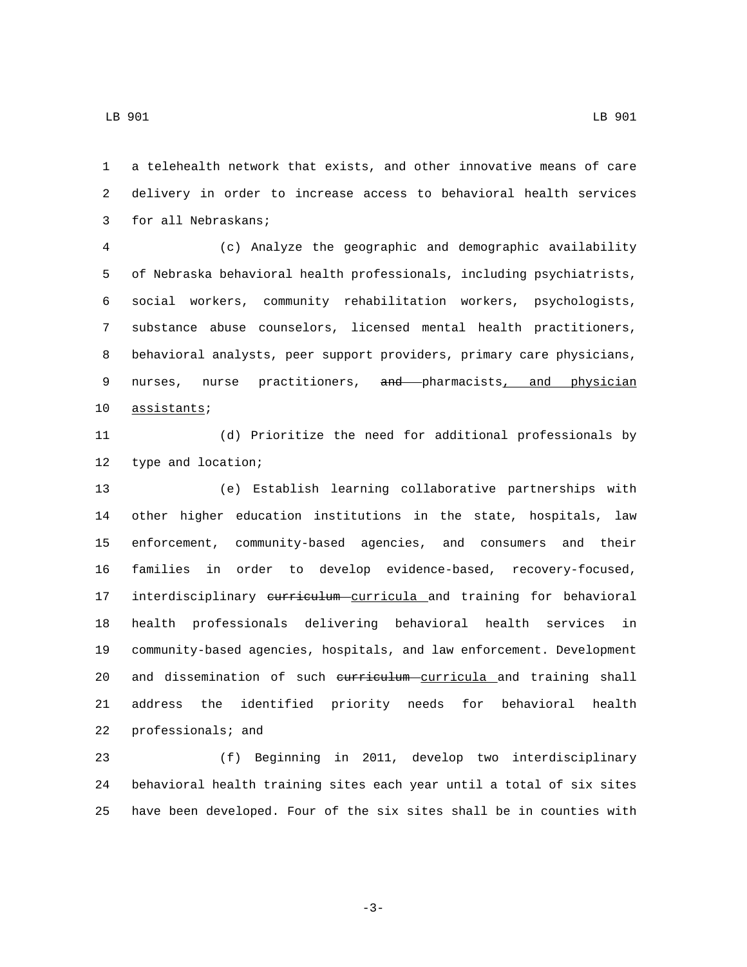a telehealth network that exists, and other innovative means of care delivery in order to increase access to behavioral health services 3 for all Nebraskans;

 (c) Analyze the geographic and demographic availability of Nebraska behavioral health professionals, including psychiatrists, social workers, community rehabilitation workers, psychologists, substance abuse counselors, licensed mental health practitioners, behavioral analysts, peer support providers, primary care physicians, 9 nurses, nurse practitioners, and pharmacists, and physician 10 assistants;

 (d) Prioritize the need for additional professionals by 12 type and location;

 (e) Establish learning collaborative partnerships with other higher education institutions in the state, hospitals, law enforcement, community-based agencies, and consumers and their families in order to develop evidence-based, recovery-focused, 17 interdisciplinary eurriculum curricula and training for behavioral health professionals delivering behavioral health services in community-based agencies, hospitals, and law enforcement. Development 20 and dissemination of such eurriculum curricula and training shall address the identified priority needs for behavioral health 22 professionals; and

 (f) Beginning in 2011, develop two interdisciplinary behavioral health training sites each year until a total of six sites have been developed. Four of the six sites shall be in counties with

-3-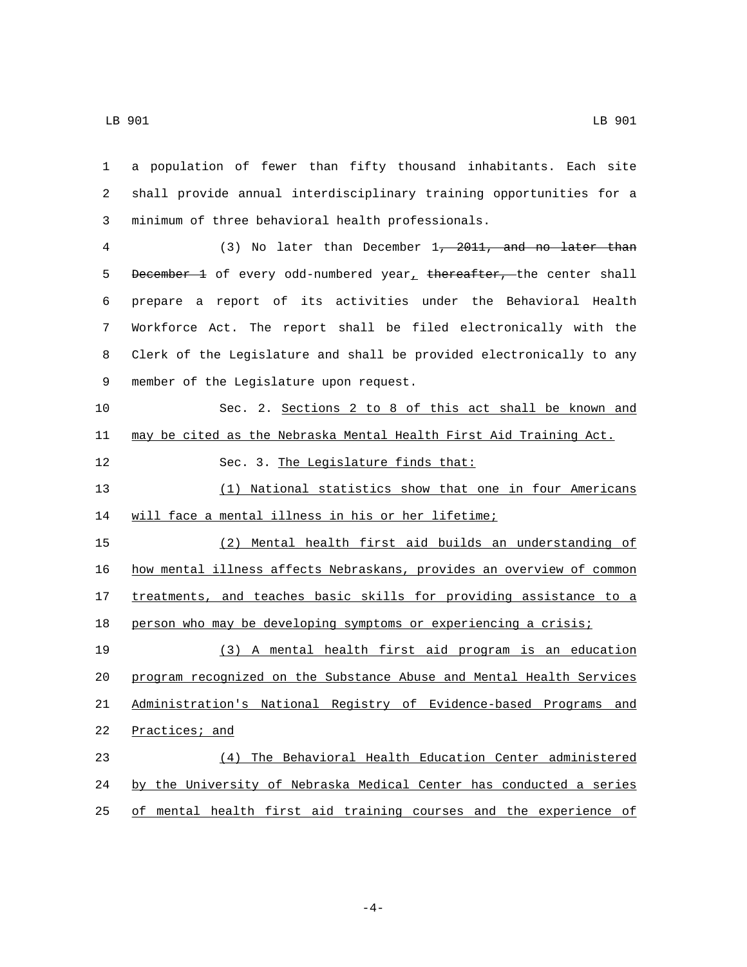| $\mathbf{1}$ | a population of fewer than fifty thousand inhabitants. Each site      |
|--------------|-----------------------------------------------------------------------|
| 2            | shall provide annual interdisciplinary training opportunities for a   |
| 3            | minimum of three behavioral health professionals.                     |
| 4            | (3) No later than December 1, 2011, and no later than                 |
| 5            | December 1 of every odd-numbered year, thereafter, the center shall   |
| 6            | prepare a report of its activities under the Behavioral Health        |
| 7            | Workforce Act. The report shall be filed electronically with the      |
| 8            | Clerk of the Legislature and shall be provided electronically to any  |
| 9            | member of the Legislature upon request.                               |
| 10           | Sec. 2. Sections 2 to 8 of this act shall be known and                |
| 11           | may be cited as the Nebraska Mental Health First Aid Training Act.    |
| 12           | Sec. 3. The Legislature finds that:                                   |
| 13           | (1) National statistics show that one in four Americans               |
| 14           | will face a mental illness in his or her lifetime;                    |
| 15           | (2) Mental health first aid builds an understanding of                |
| 16           | how mental illness affects Nebraskans, provides an overview of common |
| 17           | treatments, and teaches basic skills for providing assistance to a    |
| 18           | person who may be developing symptoms or experiencing a crisis;       |
| 19           | (3) A mental health first aid program is an education                 |
| 20           | program recognized on the Substance Abuse and Mental Health Services  |
| 21           | Administration's National Registry of Evidence-based Programs and     |
| 22           | Practices; and                                                        |
| 23           | The Behavioral Health Education Center administered<br>(4)            |
| 24           | by the University of Nebraska Medical Center has conducted a series   |
| 25           | of mental health first aid training courses and the experience of     |

 $-4-$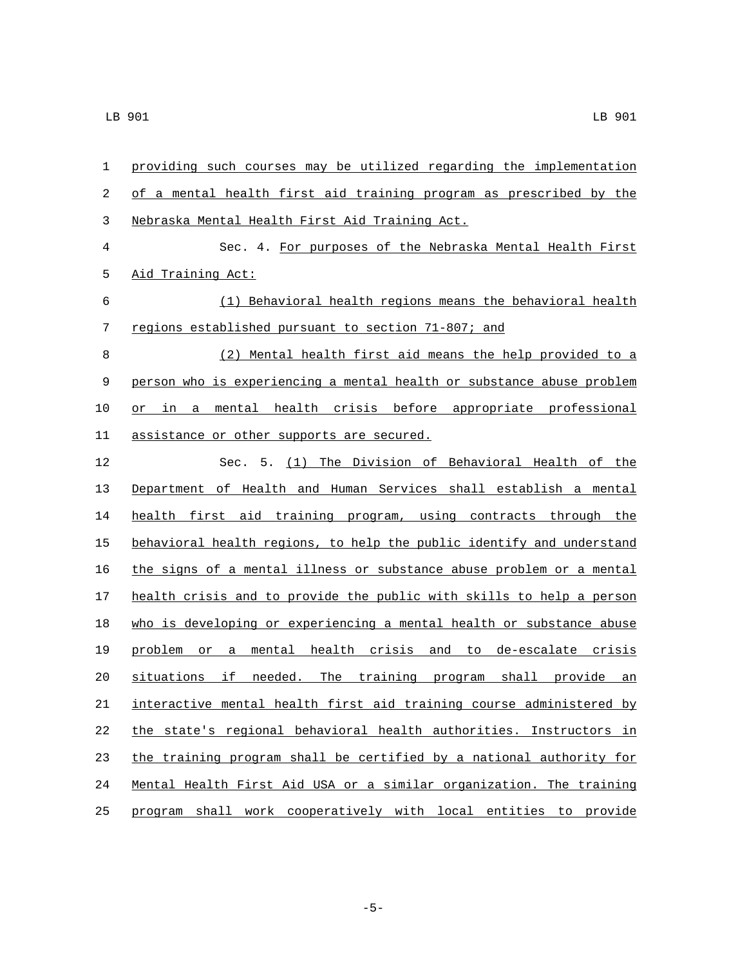| 1     | providing such courses may be utilized regarding the implementation   |
|-------|-----------------------------------------------------------------------|
| 2     | of a mental health first aid training program as prescribed by the    |
| 3     | Nebraska Mental Health First Aid Training Act.                        |
| $\,4$ | Sec. 4. For purposes of the Nebraska Mental Health First              |
| 5     | Aid Training Act:                                                     |
| 6     | (1) Behavioral health regions means the behavioral health             |
| 7     | regions established pursuant to section 71-807; and                   |
| 8     | (2) Mental health first aid means the help provided to a              |
| 9     | person who is experiencing a mental health or substance abuse problem |
| 10    | mental health crisis before appropriate professional<br>in a<br>or    |
| 11    | assistance or other supports are secured.                             |
| 12    | Sec. 5. (1) The Division of Behavioral Health of the                  |
| 13    | Department of Health and Human Services shall establish a mental      |
| 14    | health first aid training program, using contracts through the        |
| 15    | behavioral health regions, to help the public identify and understand |
| 16    | the signs of a mental illness or substance abuse problem or a mental  |
| 17    | health crisis and to provide the public with skills to help a person  |
| 18    | who is developing or experiencing a mental health or substance abuse  |
| 19    | mental health crisis and to de-escalate crisis<br>problem or a        |
| 20    | situations if<br>needed. The training program shall provide an        |
| 21    | interactive mental health first aid training course administered by   |
| 22    | the state's regional behavioral health authorities. Instructors in    |
| 23    | the training program shall be certified by a national authority for   |
| 24    | Mental Health First Aid USA or a similar organization. The training   |
| 25    | program shall work cooperatively with local entities to provide       |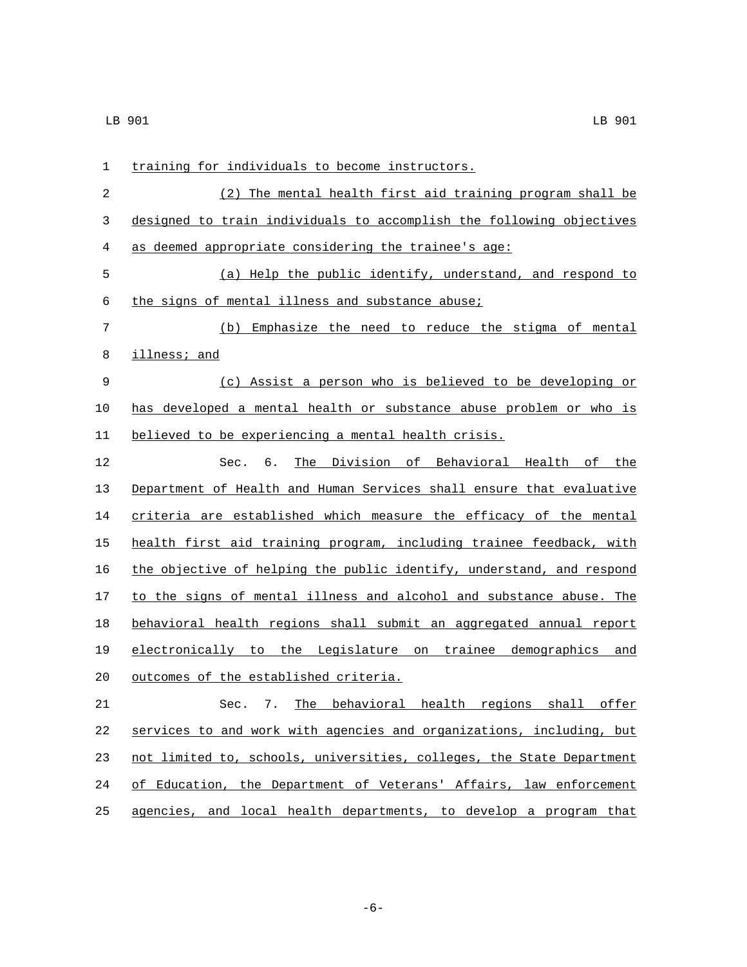| $\mathbf{1}$ | training for individuals to become instructors.                       |
|--------------|-----------------------------------------------------------------------|
| 2            | (2) The mental health first aid training program shall be             |
| 3            | designed to train individuals to accomplish the following objectives  |
| 4            | as deemed appropriate considering the trainee's age:                  |
| 5            | (a) Help the public identify, understand, and respond to              |
| 6            | the signs of mental illness and substance abuse;                      |
| 7            | (b) Emphasize the need to reduce the stigma of mental                 |
| 8            | <i>illness;</i> and                                                   |
| 9            | (c) Assist a person who is believed to be developing or               |
| 10           | has developed a mental health or substance abuse problem or who is    |
| 11           | believed to be experiencing a mental health crisis.                   |
| 12           | The Division of Behavioral Health of the<br>Sec. 6.                   |
| 13           | Department of Health and Human Services shall ensure that evaluative  |
| 14           | criteria are established which measure the efficacy of the mental     |
| 15           | health first aid training program, including trainee feedback, with   |
| 16           | the objective of helping the public identify, understand, and respond |
| 17           | to the signs of mental illness and alcohol and substance abuse. The   |
| 18           | behavioral health regions shall submit an aggregated annual report    |
| 19           | electronically to the Legislature on trainee demographics and         |
| 20           | outcomes of the established criteria.                                 |
| 21           | Sec. 7. The behavioral health regions shall offer                     |
| 22           | services to and work with agencies and organizations, including, but  |
| 23           | not limited to, schools, universities, colleges, the State Department |
| 24           | of Education, the Department of Veterans' Affairs, law enforcement    |
| 25           | agencies, and local health departments, to develop a program that     |

-6-